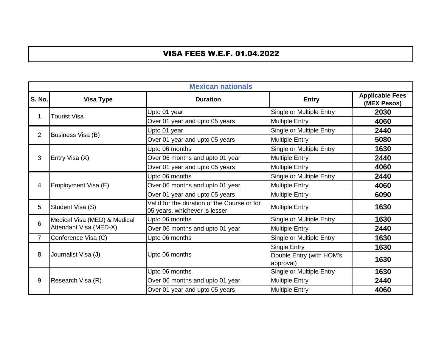## VISA FEES W.E.F. 01.04.2022

|                | <b>Mexican nationals</b>                                                                         |                                 |                                       |                                       |  |
|----------------|--------------------------------------------------------------------------------------------------|---------------------------------|---------------------------------------|---------------------------------------|--|
| <b>S. No.</b>  | <b>Visa Type</b>                                                                                 | <b>Duration</b>                 | <b>Entry</b>                          | <b>Applicable Fees</b><br>(MEX Pesos) |  |
| 1              | <b>Tourist Visa</b>                                                                              | Upto 01 year                    | Single or Multiple Entry              | 2030                                  |  |
|                |                                                                                                  | Over 01 year and upto 05 years  | <b>Multiple Entry</b>                 | 4060                                  |  |
| 2              |                                                                                                  | Upto 01 year                    | Single or Multiple Entry              | 2440                                  |  |
|                | Business Visa (B)                                                                                | Over 01 year and upto 05 years  | <b>Multiple Entry</b>                 | 5080                                  |  |
|                |                                                                                                  | Upto 06 months                  | Single or Multiple Entry              | 1630                                  |  |
| 3              | Entry Visa (X)                                                                                   | Over 06 months and upto 01 year | <b>Multiple Entry</b>                 | 2440                                  |  |
|                |                                                                                                  | Over 01 year and upto 05 years  | <b>Multiple Entry</b>                 | 4060                                  |  |
|                | Employment Visa (E)                                                                              | Upto 06 months                  | Single or Multiple Entry              | 2440                                  |  |
| 4              |                                                                                                  | Over 06 months and upto 01 year | <b>Multiple Entry</b>                 | 4060                                  |  |
|                |                                                                                                  | Over 01 year and upto 05 years  | <b>Multiple Entry</b>                 | 6090                                  |  |
| 5              | Valid for the duration of the Course or for<br>Student Visa (S)<br>05 years, whichever is lesser |                                 | <b>Multiple Entry</b>                 | 1630                                  |  |
| $6\phantom{1}$ | Medical Visa (MED) & Medical                                                                     | Upto 06 months                  | Single or Multiple Entry              | 1630                                  |  |
|                | Attendant Visa (MED-X)                                                                           | Over 06 months and upto 01 year | <b>Multiple Entry</b>                 | 2440                                  |  |
| $\overline{7}$ | Conference Visa (C)                                                                              | Upto 06 months                  | Single or Multiple Entry              | 1630                                  |  |
|                |                                                                                                  |                                 | <b>Single Entry</b>                   | 1630                                  |  |
| 8              | Journalist Visa (J)                                                                              | Upto 06 months                  | Double Entry (with HOM's<br>approval) | 1630                                  |  |
|                |                                                                                                  | Upto 06 months                  | Single or Multiple Entry              | 1630                                  |  |
| 9              | Research Visa (R)                                                                                | Over 06 months and upto 01 year | <b>Multiple Entry</b>                 | 2440                                  |  |
|                |                                                                                                  | Over 01 year and upto 05 years  | <b>Multiple Entry</b>                 | 4060                                  |  |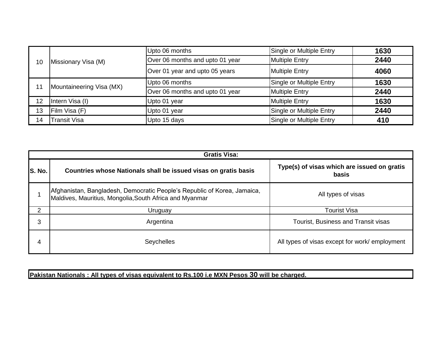|    |                          | Upto 06 months                  | Single or Multiple Entry | 1630 |
|----|--------------------------|---------------------------------|--------------------------|------|
| 10 | Missionary Visa (M)      | Over 06 months and upto 01 year | <b>Multiple Entry</b>    | 2440 |
|    |                          | Over 01 year and upto 05 years  | <b>Multiple Entry</b>    | 4060 |
|    |                          | Upto 06 months                  | Single or Multiple Entry | 1630 |
| 11 | Mountaineering Visa (MX) | Over 06 months and upto 01 year | <b>Multiple Entry</b>    | 2440 |
| 12 | Intern Visa (I)          | Upto 01 year                    | <b>Multiple Entry</b>    | 1630 |
| 13 | Film Visa (F)            | Upto 01 year                    | Single or Multiple Entry | 2440 |
| 14 | <b>Transit Visa</b>      | Upto 15 days                    | Single or Multiple Entry | 410  |

|        | <b>Gratis Visa:</b>                                                                                                                 |                                                      |  |  |
|--------|-------------------------------------------------------------------------------------------------------------------------------------|------------------------------------------------------|--|--|
| S. No. | Countries whose Nationals shall be issued visas on gratis basis                                                                     | Type(s) of visas which are issued on gratis<br>basis |  |  |
|        | Afghanistan, Bangladesh, Democratic People's Republic of Korea, Jamaica,<br>Maldives, Mauritius, Mongolia, South Africa and Myanmar | All types of visas                                   |  |  |
| 2      | Uruguay                                                                                                                             | <b>Tourist Visa</b>                                  |  |  |
| 3      | Argentina                                                                                                                           | Tourist, Business and Transit visas                  |  |  |
| 4      | <b>Seychelles</b>                                                                                                                   | All types of visas except for work/ employment       |  |  |

**Pakistan Nationals : All types of visas equivalent to Rs.100 i.e MXN Pesos 30 will be charged.**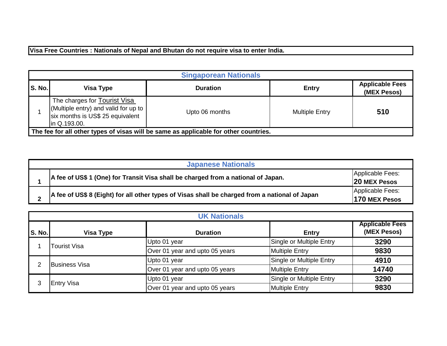**Visa Free Countries : Nationals of Nepal and Bhutan do not require visa to enter India.**

|        | <b>Singaporean Nationals</b>                                                                                                     |                 |                       |                                       |  |
|--------|----------------------------------------------------------------------------------------------------------------------------------|-----------------|-----------------------|---------------------------------------|--|
| S. No. | Visa Type                                                                                                                        | <b>Duration</b> | <b>Entry</b>          | <b>Applicable Fees</b><br>(MEX Pesos) |  |
|        | The charges for <b>Tourist Visa</b><br>(Multiple entry) and valid for up to<br>six months is US\$ 25 equivalent<br>lin Q.193.00. | Upto 06 months  | <b>Multiple Entry</b> | 510                                   |  |
|        | The fee for all other types of visas will be same as applicable for other countries.                                             |                 |                       |                                       |  |

| <b>Japanese Nationals</b>                                                                      |                                         |  |  |
|------------------------------------------------------------------------------------------------|-----------------------------------------|--|--|
| A fee of US\$ 1 (One) for Transit Visa shall be charged from a national of Japan.              | Applicable Fees:<br><b>20 MEX Pesos</b> |  |  |
| A fee of US\$ 8 (Eight) for all other types of Visas shall be charged from a national of Japan | Applicable Fees:<br>170 MEX Pesos       |  |  |

|        | <b>UK Nationals</b>  |                                |                          |                                       |  |
|--------|----------------------|--------------------------------|--------------------------|---------------------------------------|--|
| S. No. | <b>Visa Type</b>     | <b>Duration</b>                | <b>Entry</b>             | <b>Applicable Fees</b><br>(MEX Pesos) |  |
|        | Tourist Visa         | Upto 01 year                   | Single or Multiple Entry | 3290                                  |  |
|        |                      | Over 01 year and upto 05 years | <b>Multiple Entry</b>    | 9830                                  |  |
| 2      | <b>Business Visa</b> | Upto 01 year                   | Single or Multiple Entry | 4910                                  |  |
|        |                      | Over 01 year and upto 05 years | <b>Multiple Entry</b>    | 14740                                 |  |
| 3      |                      | Upto 01 year                   | Single or Multiple Entry | 3290                                  |  |
|        | <b>Entry Visa</b>    | Over 01 year and upto 05 years | <b>Multiple Entry</b>    | 9830                                  |  |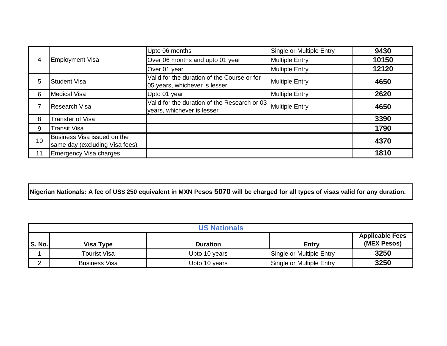|    |                                                               | Upto 06 months                                                               | Single or Multiple Entry | 9430  |
|----|---------------------------------------------------------------|------------------------------------------------------------------------------|--------------------------|-------|
| 4  | <b>Employment Visa</b>                                        | Over 06 months and upto 01 year                                              | <b>Multiple Entry</b>    | 10150 |
|    |                                                               | Over 01 year                                                                 | <b>Multiple Entry</b>    | 12120 |
| 5  | <b>Student Visa</b>                                           | Valid for the duration of the Course or for<br>05 years, whichever is lesser | <b>Multiple Entry</b>    | 4650  |
| 6  | Medical Visa                                                  | Upto 01 year                                                                 | <b>Multiple Entry</b>    | 2620  |
|    | <b>Research Visa</b>                                          | Valid for the duration of the Research or 03<br>years, whichever is lesser   | <b>Multiple Entry</b>    | 4650  |
| 8  | Transfer of Visa                                              |                                                                              |                          | 3390  |
| 9  | Transit Visa                                                  |                                                                              |                          | 1790  |
| 10 | Business Visa issued on the<br>same day (excluding Visa fees) |                                                                              |                          | 4370  |
| 11 | Emergency Visa charges                                        |                                                                              |                          | 1810  |

**Nigerian Nationals: A fee of US\$ 250 equivalent in MXN Pesos 5070 will be charged for all types of visas valid for any duration.**

|               | <b>US Nationals</b> |                 |                          |                                       |
|---------------|---------------------|-----------------|--------------------------|---------------------------------------|
| <b>S. No.</b> | Visa Type           | <b>Duration</b> | Entry                    | <b>Applicable Fees</b><br>(MEX Pesos) |
|               | Tourist Visa        | Upto 10 years   | Single or Multiple Entry | 3250                                  |
|               | Business Visa       | Upto 10 years   | Single or Multiple Entry | 3250                                  |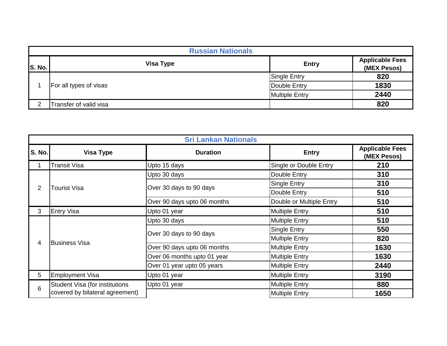|               | <b>Russian Nationals</b> |                       |                                       |  |  |
|---------------|--------------------------|-----------------------|---------------------------------------|--|--|
| <b>S. No.</b> | <b>Visa Type</b>         | <b>Entry</b>          | <b>Applicable Fees</b><br>(MEX Pesos) |  |  |
|               |                          | <b>Single Entry</b>   | 820                                   |  |  |
|               | For all types of visas   | 1830<br>Double Entry  |                                       |  |  |
|               |                          | <b>Multiple Entry</b> | 2440                                  |  |  |
| $\mathcal{P}$ | Transfer of valid visa   |                       | 820                                   |  |  |

|                | <b>Sri Lankan Nationals</b>           |                             |                          |                                             |     |
|----------------|---------------------------------------|-----------------------------|--------------------------|---------------------------------------------|-----|
| S. No.         | <b>Visa Type</b>                      | <b>Duration</b>             | <b>Entry</b>             | <b>Applicable Fees</b><br>(MEX Pesos)       |     |
| 1              | Transit Visa                          | Upto 15 days                | Single or Double Entry   | 210                                         |     |
|                |                                       | Upto 30 days                | Double Entry             | 310                                         |     |
| $\overline{2}$ | Tourist Visa                          | Over 30 days to 90 days     | Single Entry             | 310                                         |     |
|                |                                       |                             | Double Entry             | 510<br>510<br>510                           |     |
|                |                                       | Over 90 days upto 06 months | Double or Multiple Entry |                                             |     |
| 3              | <b>Entry Visa</b>                     | Upto 01 year                | <b>Multiple Entry</b>    |                                             |     |
|                |                                       | Upto 30 days                | <b>Multiple Entry</b>    | 510                                         |     |
|                |                                       |                             | Over 30 days to 90 days  | Single Entry                                | 550 |
|                | <b>Business Visa</b>                  |                             | <b>Multiple Entry</b>    | 820                                         |     |
| 4              |                                       | Over 90 days upto 06 months | <b>Multiple Entry</b>    | 1630<br>1630<br>2440<br>3190<br>880<br>1650 |     |
|                |                                       | Over 06 months upto 01 year | <b>Multiple Entry</b>    |                                             |     |
|                |                                       | Over 01 year upto 05 years  | <b>Multiple Entry</b>    |                                             |     |
| 5              | <b>Employment Visa</b>                | Upto 01 year                | <b>Multiple Entry</b>    |                                             |     |
|                | <b>Student Visa (for institutions</b> | Upto 01 year                | <b>Multiple Entry</b>    |                                             |     |
| 6              | covered by bilateral agreement)       |                             | <b>Multiple Entry</b>    |                                             |     |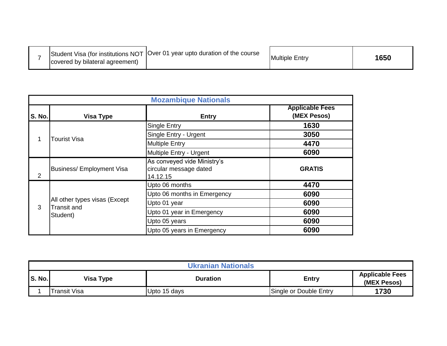|  | covered by bilateral agreement) | Student Visa (for institutions NOT   Over 01 year upto duration of the course | <b>Multiple Entry</b> | 1650 |
|--|---------------------------------|-------------------------------------------------------------------------------|-----------------------|------|
|--|---------------------------------|-------------------------------------------------------------------------------|-----------------------|------|

|               | <b>Mozambique Nationals</b>      |                                                                   |                                       |  |  |
|---------------|----------------------------------|-------------------------------------------------------------------|---------------------------------------|--|--|
| <b>S. No.</b> | <b>Visa Type</b>                 | <b>Entry</b>                                                      | <b>Applicable Fees</b><br>(MEX Pesos) |  |  |
|               |                                  | Single Entry                                                      | 1630                                  |  |  |
|               | Tourist Visa                     | Single Entry - Urgent                                             | 3050                                  |  |  |
|               |                                  | <b>Multiple Entry</b>                                             | 4470                                  |  |  |
|               |                                  | Multiple Entry - Urgent                                           | 6090                                  |  |  |
| 2             | <b>Business/ Employment Visa</b> | As conveyed vide Ministry's<br>circular message dated<br>14.12.15 | <b>GRATIS</b>                         |  |  |
|               |                                  | Upto 06 months                                                    | 4470                                  |  |  |
|               | All other types visas (Except    | Upto 06 months in Emergency                                       | 6090                                  |  |  |
| 3             |                                  | Upto 01 year                                                      | 6090                                  |  |  |
|               | <b>Transit and</b><br>Student)   | Upto 01 year in Emergency                                         | 6090                                  |  |  |
|               |                                  | Upto 05 years                                                     | 6090                                  |  |  |
|               |                                  | Upto 05 years in Emergency                                        | 6090                                  |  |  |

| <b>Ukranian Nationals</b> |                  |              |                        |                                       |  |  |  |
|---------------------------|------------------|--------------|------------------------|---------------------------------------|--|--|--|
| <b>S. No.</b>             | <b>Visa Type</b> | Duration     | <b>Entry</b>           | <b>Applicable Fees</b><br>(MEX Pesos) |  |  |  |
|                           | Transit Visa     | Upto 15 days | Single or Double Entry | 1730                                  |  |  |  |